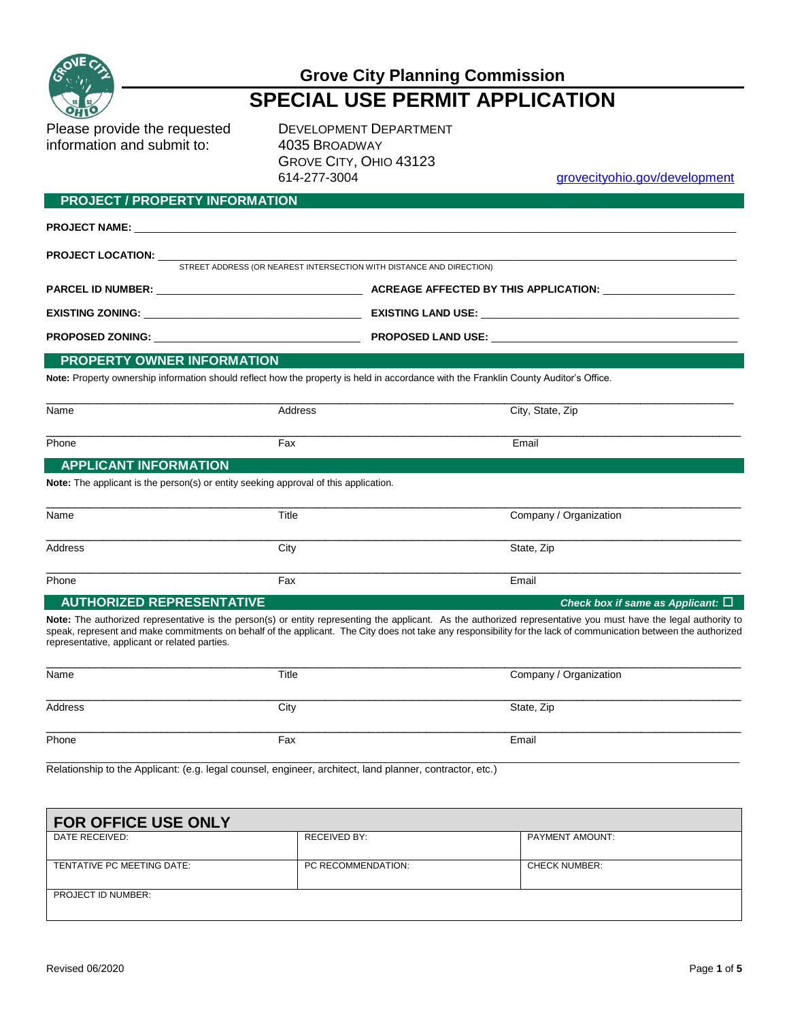

# **Grove City Planning Commission SPECIAL USE PERMIT APPLICATION**

Please provide the requested DEVELOPMENT DEPARTMENT information and submit to: 4035 BROADWAY

**PROJECT / PROPERTY INFORMATION**

GROVE CITY, OHIO 43123

grovecityohio.gov/development

|                                                                                                                                       | <b>PROJECT NAME:</b> The contract of the contract of the contract of the contract of the contract of the contract of the contract of the contract of the contract of the contract of the contract of the contract of the contract o |                                                                                                                                                                                                                                                                                                                                      |  |  |
|---------------------------------------------------------------------------------------------------------------------------------------|-------------------------------------------------------------------------------------------------------------------------------------------------------------------------------------------------------------------------------------|--------------------------------------------------------------------------------------------------------------------------------------------------------------------------------------------------------------------------------------------------------------------------------------------------------------------------------------|--|--|
| <b>PROJECT LOCATION:</b>                                                                                                              | STREET ADDRESS (OR NEAREST INTERSECTION WITH DISTANCE AND DIRECTION)                                                                                                                                                                |                                                                                                                                                                                                                                                                                                                                      |  |  |
|                                                                                                                                       |                                                                                                                                                                                                                                     |                                                                                                                                                                                                                                                                                                                                      |  |  |
|                                                                                                                                       |                                                                                                                                                                                                                                     |                                                                                                                                                                                                                                                                                                                                      |  |  |
|                                                                                                                                       |                                                                                                                                                                                                                                     |                                                                                                                                                                                                                                                                                                                                      |  |  |
| PROPERTY OWNER INFORMATION                                                                                                            |                                                                                                                                                                                                                                     |                                                                                                                                                                                                                                                                                                                                      |  |  |
| Note: Property ownership information should reflect how the property is held in accordance with the Franklin County Auditor's Office. |                                                                                                                                                                                                                                     |                                                                                                                                                                                                                                                                                                                                      |  |  |
| Name                                                                                                                                  | Address                                                                                                                                                                                                                             | City, State, Zip                                                                                                                                                                                                                                                                                                                     |  |  |
| Phone                                                                                                                                 | Fax                                                                                                                                                                                                                                 | Email                                                                                                                                                                                                                                                                                                                                |  |  |
| <b>APPLICANT INFORMATION</b>                                                                                                          |                                                                                                                                                                                                                                     |                                                                                                                                                                                                                                                                                                                                      |  |  |
|                                                                                                                                       | <b>Note:</b> The applicant is the person(s) or entity seeking approval of this application.                                                                                                                                         |                                                                                                                                                                                                                                                                                                                                      |  |  |
| Name                                                                                                                                  | Title                                                                                                                                                                                                                               | Company / Organization                                                                                                                                                                                                                                                                                                               |  |  |
| <b>Address</b>                                                                                                                        | City                                                                                                                                                                                                                                | State, Zip                                                                                                                                                                                                                                                                                                                           |  |  |
| Phone                                                                                                                                 | Fax                                                                                                                                                                                                                                 | Email                                                                                                                                                                                                                                                                                                                                |  |  |
| <b>AUTHORIZED REPRESENTATIVE</b>                                                                                                      |                                                                                                                                                                                                                                     | Check box if same as Applicant: $\square$                                                                                                                                                                                                                                                                                            |  |  |
| representative, applicant or related parties.                                                                                         |                                                                                                                                                                                                                                     | Note: The authorized representative is the person(s) or entity representing the applicant. As the authorized representative you must have the legal authority to<br>speak, represent and make commitments on behalf of the applicant. The City does not take any responsibility for the lack of communication between the authorized |  |  |

| Name    | Title | Company / Organization |  |
|---------|-------|------------------------|--|
|         |       |                        |  |
| Address | City  | State, Zip             |  |
| Phone   | Fax   | Email                  |  |

Relationship to the Applicant: (e.g. legal counsel, engineer, architect, land planner, contractor, etc.)

| <b>FOR OFFICE USE ONLY</b> |                    |                        |  |  |
|----------------------------|--------------------|------------------------|--|--|
| DATE RECEIVED:             | RECEIVED BY:       | <b>PAYMENT AMOUNT:</b> |  |  |
| TENTATIVE PC MEETING DATE: | PC RECOMMENDATION: | <b>CHECK NUMBER:</b>   |  |  |
| PROJECT ID NUMBER:         |                    |                        |  |  |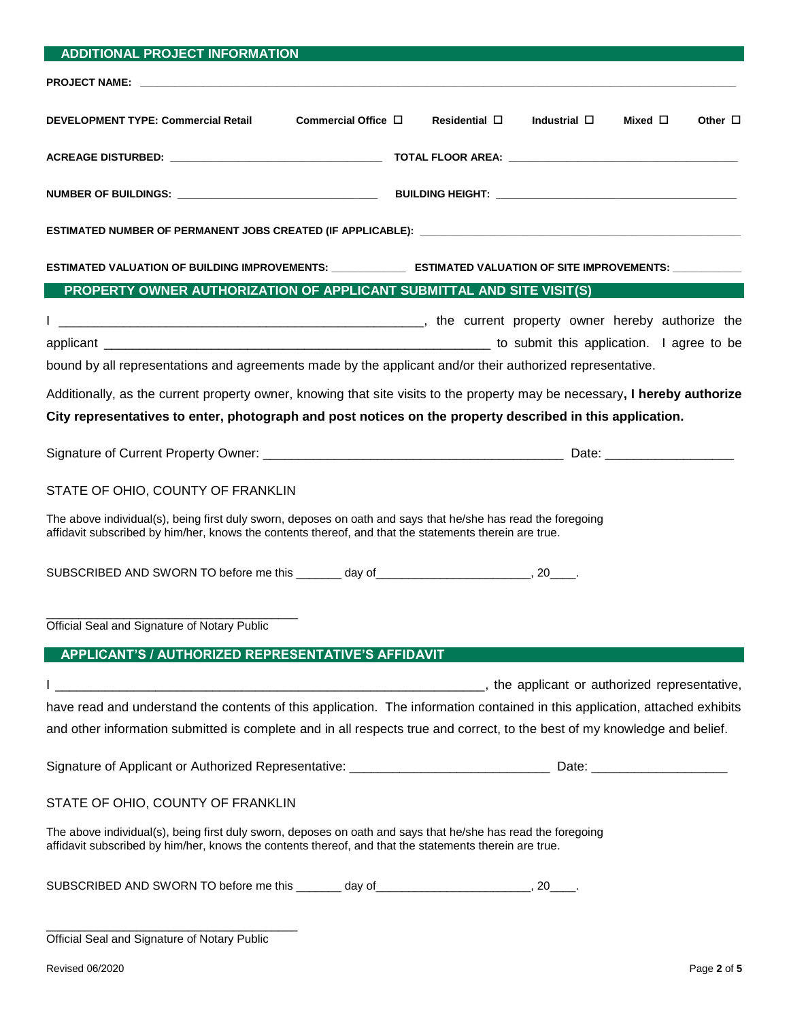| <b>ADDITIONAL PROJECT INFORMATION</b>                                                                                                                                                                                  |                                                                                                                             |
|------------------------------------------------------------------------------------------------------------------------------------------------------------------------------------------------------------------------|-----------------------------------------------------------------------------------------------------------------------------|
|                                                                                                                                                                                                                        |                                                                                                                             |
| <b>DEVELOPMENT TYPE: Commercial Retail</b><br>Commercial Office $\Box$                                                                                                                                                 | Industrial $\square$<br>Other $\Box$<br>Residential $\square$<br>Mixed $\square$                                            |
|                                                                                                                                                                                                                        |                                                                                                                             |
|                                                                                                                                                                                                                        |                                                                                                                             |
|                                                                                                                                                                                                                        |                                                                                                                             |
|                                                                                                                                                                                                                        | ESTIMATED VALUATION OF BUILDING IMPROVEMENTS: ________________ ESTIMATED VALUATION OF SITE IMPROVEMENTS: ___________        |
| PROPERTY OWNER AUTHORIZATION OF APPLICANT SUBMITTAL AND SITE VISIT(S)                                                                                                                                                  |                                                                                                                             |
|                                                                                                                                                                                                                        |                                                                                                                             |
|                                                                                                                                                                                                                        |                                                                                                                             |
| bound by all representations and agreements made by the applicant and/or their authorized representative.                                                                                                              |                                                                                                                             |
|                                                                                                                                                                                                                        | Additionally, as the current property owner, knowing that site visits to the property may be necessary, I hereby authorize  |
| City representatives to enter, photograph and post notices on the property described in this application.                                                                                                              |                                                                                                                             |
|                                                                                                                                                                                                                        |                                                                                                                             |
| STATE OF OHIO, COUNTY OF FRANKLIN                                                                                                                                                                                      |                                                                                                                             |
| The above individual(s), being first duly sworn, deposes on oath and says that he/she has read the foregoing<br>affidavit subscribed by him/her, knows the contents thereof, and that the statements therein are true. |                                                                                                                             |
| SUBSCRIBED AND SWORN TO before me this ________ day of __________________________, 20____.                                                                                                                             |                                                                                                                             |
| Official Seal and Signature of Notary Public                                                                                                                                                                           |                                                                                                                             |
| APPLICANT'S / AUTHORIZED REPRESENTATIVE'S AFFIDAVIT                                                                                                                                                                    |                                                                                                                             |
|                                                                                                                                                                                                                        |                                                                                                                             |
|                                                                                                                                                                                                                        |                                                                                                                             |
|                                                                                                                                                                                                                        | have read and understand the contents of this application. The information contained in this application, attached exhibits |
| and other information submitted is complete and in all respects true and correct, to the best of my knowledge and belief.                                                                                              |                                                                                                                             |
|                                                                                                                                                                                                                        |                                                                                                                             |
| STATE OF OHIO, COUNTY OF FRANKLIN                                                                                                                                                                                      |                                                                                                                             |
| The above individual(s), being first duly sworn, deposes on oath and says that he/she has read the foregoing<br>affidavit subscribed by him/her, knows the contents thereof, and that the statements therein are true. |                                                                                                                             |
| SUBSCRIBED AND SWORN TO before me this ________ day of __________________________, 20____.                                                                                                                             |                                                                                                                             |
| $\begin{array}{ccccccccccccccccc}\n\hline\n\end{array}$                                                                                                                                                                |                                                                                                                             |

| Official Seal and Signature of Notary Public |  |
|----------------------------------------------|--|
|----------------------------------------------|--|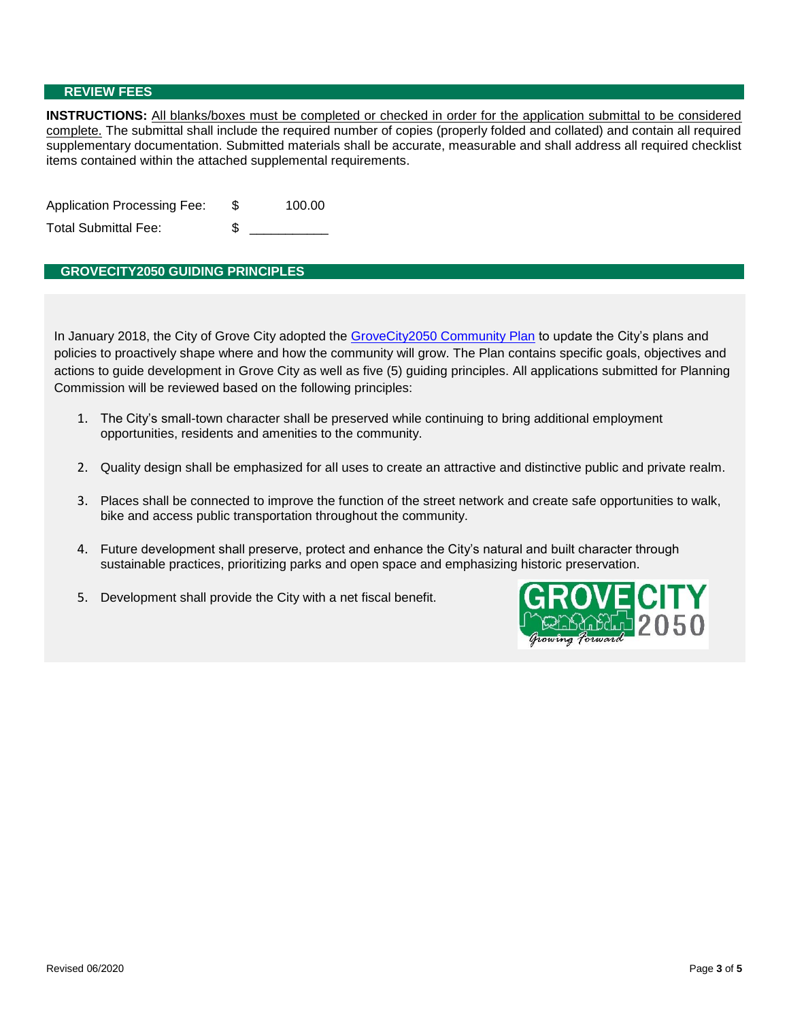#### **REVIEW FEES**

**INSTRUCTIONS:** All blanks/boxes must be completed or checked in order for the application submittal to be considered complete. The submittal shall include the required number of copies (properly folded and collated) and contain all required supplementary documentation. Submitted materials shall be accurate, measurable and shall address all required checklist items contained within the attached supplemental requirements.

| <b>Application Processing Fee:</b> |   | 100.00 |
|------------------------------------|---|--------|
| Total Submittal Fee:               | S |        |

## **GROVECITY2050 GUIDING PRINCIPLES**

In January 2018, the City of Grove City adopted the GroveCity2050 Community Plan to update the City's plans and policies to proactively shape where and how the community will grow. The Plan contains specific goals, objectives and actions to guide development in Grove City as well as five (5) guiding principles. All applications submitted for Planning Commission will be reviewed based on the following principles:

- 1. The City's small-town character shall be preserved while continuing to bring additional employment opportunities, residents and amenities to the community.
- 2. Quality design shall be emphasized for all uses to create an attractive and distinctive public and private realm.
- 3. Places shall be connected to improve the function of the street network and create safe opportunities to walk, bike and access public transportation throughout the community.
- 4. Future development shall preserve, protect and enhance the City's natural and built character through sustainable practices, prioritizing parks and open space and emphasizing historic preservation.
- 5. Development shall provide the City with a net fiscal benefit.

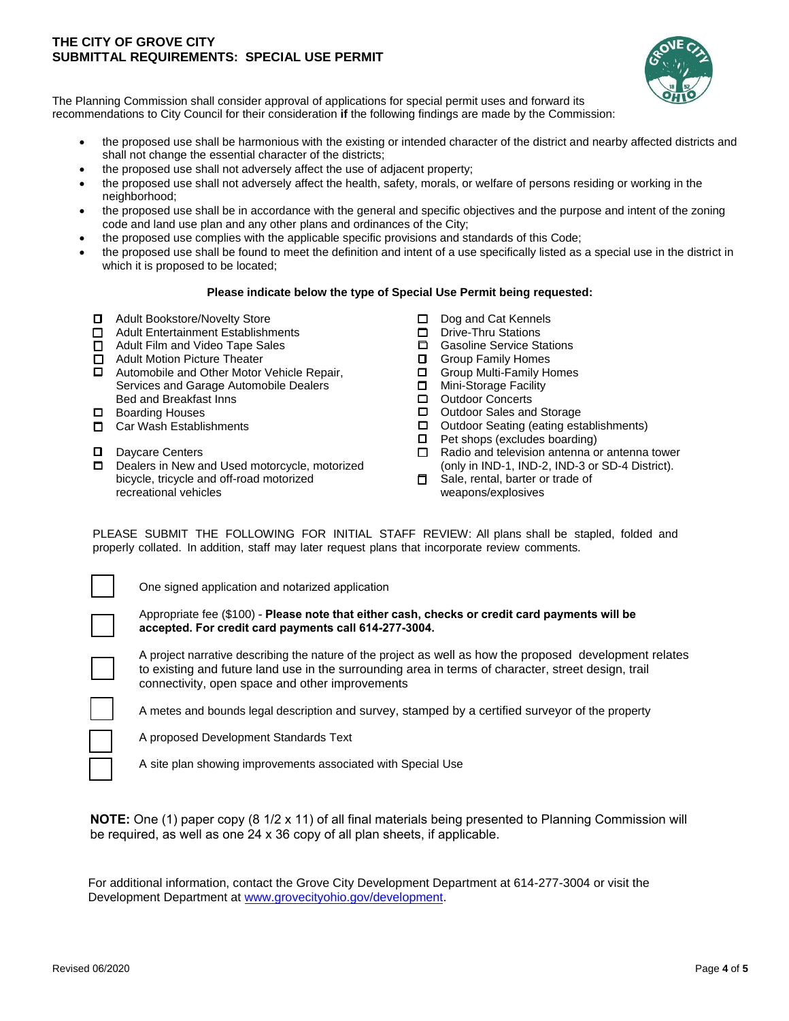### **THE CITY OF GROVE CITY SUBMITTAL REQUIREMENTS: SPECIAL USE PERMIT**



The Planning Commission shall consider approval of applications for special permit uses and forward its recommendations to City Council for their consideration **if** the following findings are made by the Commission:

- the proposed use shall be harmonious with the existing or intended character of the district and nearby affected districts and shall not change the essential character of the districts;
- the proposed use shall not adversely affect the use of adjacent property;
- the proposed use shall not adversely affect the health, safety, morals, or welfare of persons residing or working in the neighborhood;
- the proposed use shall be in accordance with the general and specific objectives and the purpose and intent of the zoning code and land use plan and any other plans and ordinances of the City;
- the proposed use complies with the applicable specific provisions and standards of this Code;
- the proposed use shall be found to meet the definition and intent of a use specifically listed as a special use in the district in which it is proposed to be located;

#### **Please indicate below the type of Special Use Permit being requested:**

- Adult Bookstore/Novelty Store
- □ Adult Entertainment Establishments
- □ Adult Film and Video Tape Sales
- □ Adult Motion Picture Theater
- □ Automobile and Other Motor Vehicle Repair. Services and Garage Automobile Dealers Bed and Breakfast Inns
- □ Boarding Houses
- □ Car Wash Establishments
- D Davcare Centers
- D Dealers in New and Used motorcycle, motorized bicycle, tricycle and off-road motorized recreational vehicles
- D Dog and Cat Kennels
- Drive-Thru Stations
- Gasoline Service Stations
- $\Box$  Group Family Homes
- Group Multi-Family Homes
- **D** Mini-Storage Facility
- □ Outdoor Concerts<br>□ Outdoor Sales and
- Outdoor Sales and Storage
- Outdoor Seating (eating establishments)
- $\Box$  Pet shops (excludes boarding)
- $\Box$  Radio and television antenna or antenna tower (only in IND-1, IND-2, IND-3 or SD-4 District).
- $\Box$  Sale, rental, barter or trade of weapons/explosives

PLEASE SUBMIT THE FOLLOWING FOR INITIAL STAFF REVIEW: All plans shall be stapled, folded and properly collated. In addition, staff may later request plans that incorporate review comments.

One signed application and notarized application

Appropriate fee (\$100) - **Please note that either cash, checks or credit card payments will be accepted. For credit card payments call 614-277-3004.**

A project narrative describing the nature of the project as well as how the proposed development relates to existing and future land use in the surrounding area in terms of character, street design, trail connectivity, open space and other improvements

A metes and bounds legal description and survey, stamped by a certified surveyor of the property

A proposed Development Standards Text

A site plan showing improvements associated with Special Use

**NOTE:** One (1) paper copy (8 1/2 x 11) of all final materials being presented to Planning Commission will be required, as well as one 24 x 36 copy of all plan sheets, if applicable.

For additional information, contact the Grove City Development Department at 614-277-3004 or visit the Development Department at www.grovecityohio.gov/development.